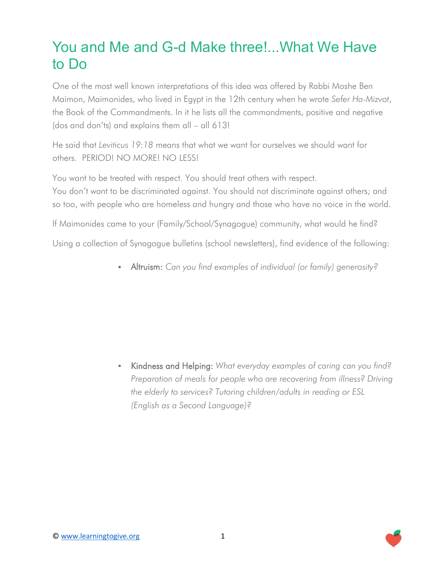## You and Me and G-d Make three!...What We Have to Do

One of the most well known interpretations of this idea was offered by Rabbi Moshe Ben Maimon, Maimonides, who lived in Egypt in the 12th century when he wrote *Sefer Ha-Mizvot*, the Book of the Commandments. In it he lists all the commandments, positive and negative (dos and don'ts) and explains them all – all 613!

He said that *Leviticus 19:18* means that what we want for ourselves we should want for others. PERIOD! NO MORE! NO LESS!

You want to be treated with respect. You should treat others with respect. You don't want to be discriminated against. You should not discriminate against others; and so too, with people who are homeless and hungry and those who have no voice in the world.

If Maimonides came to your (Family/School/Synagogue) community, what would he find?

Using a collection of Synagogue bulletins (school newsletters), find evidence of the following:

Altruism: *Can you find examples of individual (or family) generosity?*

 Kindness and Helping: *What everyday examples of caring can you find? Preparation of meals for people who are recovering from illness? Driving the elderly to services? Tutoring children/adults in reading or ESL (English as a Second Language)?*